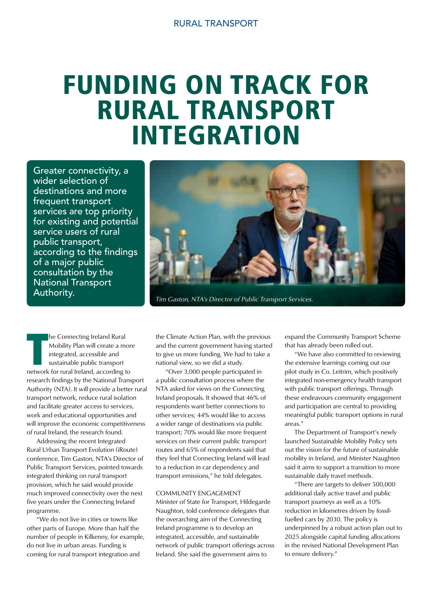## FUNDING ON TRACK FOR RURAL TRANSPORT INTEGRATION

Greater connectivity, a wider selection of destinations and more frequent transport services are top priority for existing and potential service users of rural public transport, according to the findings of a major public consultation by the National Transport Authority.



Tim Gaston, NTA's Director of Public Transport Services.

**The Connecting Ireland Rural<br>
Mobility Plan will create a mor<br>
integrated, accessible and<br>
sustainable public transport<br>
network for rural Ireland, according to** he Connecting Ireland Rural Mobility Plan will create a more integrated, accessible and sustainable public transport research findings by the National Transport Authority (NTA). It will provide a better rural transport network, reduce rural isolation and facilitate greater access to services, work and educational opportunities and will improve the economic competitiveness of rural Ireland, the research found.

 Addressing the recent Integrated Rural Urban Transport Evolution (iRoute) conference, Tim Gaston, NTA's Director of Public Transport Services, pointed towards integrated thinking on rural transport provision, which he said would provide much improved connectivity over the next five years under the Connecting Ireland programme.

 "We do not live in cities or towns like other parts of Europe. More than half the number of people in Kilkenny, for example, do not live in urban areas. Funding is coming for rural transport integration and

the Climate Action Plan, with the previous and the current government having started to give us more funding. We had to take a national view, so we did a study.

 "Over 3,000 people participated in a public consultation process where the NTA asked for views on the Connecting Ireland proposals. It showed that 46% of respondents want better connections to other services; 44% would like to access a wider range of destinations via public transport; 70% would like more frequent services on their current public transport routes and 65% of respondents said that they feel that Connecting Ireland will lead to a reduction in car dependency and transport emissions," he told delegates.

## COMMUNITY ENGAGEMENT

Minister of State for Transport, Hildegarde Naughton, told conference delegates that the overarching aim of the Connecting Ireland programme is to develop an integrated, accessible, and sustainable network of public transport offerings across Ireland. She said the government aims to

expand the Community Transport Scheme that has already been rolled out.

 "We have also committed to reviewing the extensive learnings coming out our pilot study in Co. Leitrim, which positively integrated non-emergency health transport with public transport offerings. Through these endeavours community engagement and participation are central to providing meaningful public transport options in rural areas."

 The Department of Transport's newly launched Sustainable Mobility Policy sets out the vision for the future of sustainable mobility in Ireland, and Minister Naughten said it aims to support a transition to more sustainable daily travel methods.

 "There are targets to deliver 500,000 additional daily active travel and public transport journeys as well as a 10% reduction in kilometres driven by fossilfuelled cars by 2030. The policy is underpinned by a robust action plan out to 2025 alongside capital funding allocations in the revised National Development Plan to ensure delivery."